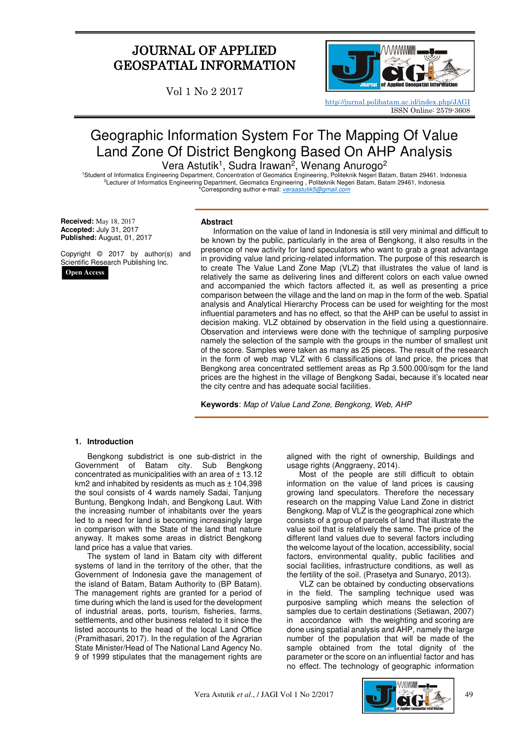# JOURNAL OF APPLIED GEOSPATIAL INFORMATION

Vol 1 No 2 2017



<http://jurnal.polibatam.ac.id/index.php/JAGI> ISSN Online: 2579-3608

# Geographic Information System For The Mapping Of Value Land Zone Of District Bengkong Based On AHP Analysis Vera Astutik<sup>1</sup>, Sudra Irawan<sup>2</sup>, Wenang Anurogo<sup>2</sup>

<sup>1</sup>Student of Informatics Engineering Department, Concentration of Geomatics Engineering, Politeknik Negeri Batam, Batam 29461, Indonesia <sup>2</sup>Lecturer of Informatics Engineering Department, Geomatics Engineering , Politeknik Negeri Batam, Batam 29461, Indonesia \*Corresponding author e-mail: [veraastutik5@gmail.com](mailto:veraastutik5@gmail.com)

**Received:** May 18, 2017 **Accepted:** July 31, 2017 **Published:** August, 01, 2017

Copyright © 2017 by author(s) and Scientific Research Publishing Inc.

**Open Access**

#### **Abstract**

Information on the value of land in Indonesia is still very minimal and difficult to be known by the public, particularly in the area of Bengkong, it also results in the presence of new activity for land speculators who want to grab a great advantage in providing value land pricing-related information. The purpose of this research is to create The Value Land Zone Map (VLZ) that illustrates the value of land is relatively the same as delivering lines and different colors on each value owned and accompanied the which factors affected it, as well as presenting a price comparison between the village and the land on map in the form of the web. Spatial analysis and Analytical Hierarchy Process can be used for weighting for the most influential parameters and has no effect, so that the AHP can be useful to assist in decision making. VLZ obtained by observation in the field using a questionnaire. Observation and interviews were done with the technique of sampling purposive namely the selection of the sample with the groups in the number of smallest unit of the score. Samples were taken as many as 25 pieces. The result of the research in the form of web map VLZ with 6 classifications of land price, the prices that Bengkong area concentrated settlement areas as Rp 3.500.000/sqm for the land prices are the highest in the village of Bengkong Sadai, because it's located near the city centre and has adequate social facilities.

**Keywords**: Map of Value Land Zone, Bengkong, Web, AHP

#### **1. Introduction**

Bengkong subdistrict is one sub-district in the Government of Batam city. Sub Bengkong concentrated as municipalities with an area of  $± 13.12$ km2 and inhabited by residents as much as  $± 104,398$ the soul consists of 4 wards namely Sadai, Tanjung Buntung, Bengkong Indah, and Bengkong Laut. With the increasing number of inhabitants over the years led to a need for land is becoming increasingly large in comparison with the State of the land that nature anyway. It makes some areas in district Bengkong land price has a value that varies.

The system of land in Batam city with different systems of land in the territory of the other, that the Government of Indonesia gave the management of the island of Batam, Batam Authority to (BP Batam). The management rights are granted for a period of time during which the land is used for the development of industrial areas, ports, tourism, fisheries, farms, settlements, and other business related to it since the listed accounts to the head of the local Land Office (Pramithasari, 2017). In the regulation of the Agrarian State Minister/Head of The National Land Agency No. 9 of 1999 stipulates that the management rights are

aligned with the right of ownership, Buildings and usage rights (Anggraeny, 2014).

Most of the people are still difficult to obtain information on the value of land prices is causing growing land speculators. Therefore the necessary research on the mapping Value Land Zone in district Bengkong. Map of VLZ is the geographical zone which consists of a group of parcels of land that illustrate the value soil that is relatively the same. The price of the different land values due to several factors including the welcome layout of the location, accessibility, social factors, environmental quality, public facilities and social facilities, infrastructure conditions, as well as the fertility of the soil. (Prasetya and Sunaryo, 2013).

VLZ can be obtained by conducting observations in the field. The sampling technique used was purposive sampling which means the selection of samples due to certain destinations (Setiawan, 2007) in accordance with the weighting and scoring are done using spatial analysis and AHP, namely the large number of the population that will be made of the sample obtained from the total dignity of the parameter or the score on an influential factor and has no effect. The technology of geographic information

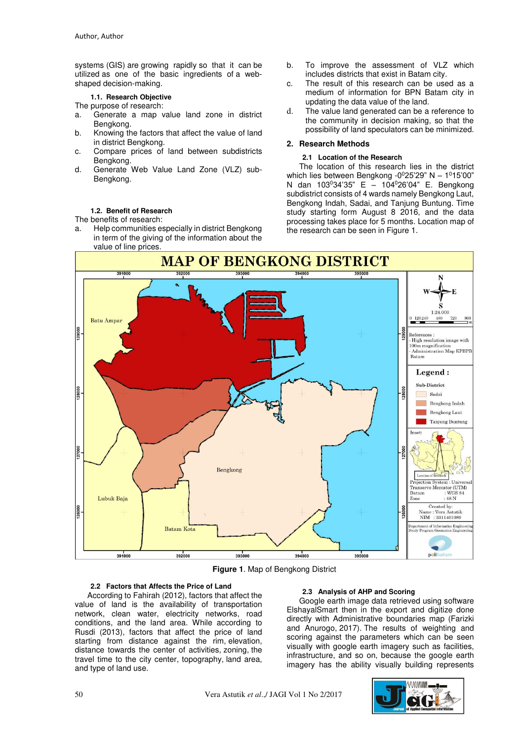systems (GIS) are growing rapidly so that it can be utilized as one of the basic ingredients of a webshaped decision-making.

**1.1. Research Objective** 

The purpose of research:

- a. Generate a map value land zone in district Bengkong.
- b. Knowing the factors that affect the value of land in district Bengkong.
- c. Compare prices of land between subdistricts Bengkong.
- d. Generate Web Value Land Zone (VLZ) sub-Bengkong.

# **1.2. Benefit of Research**

The benefits of research:

a. Help communities especially in district Bengkong in term of the giving of the information about the value of line prices.

- b. To improve the assessment of VLZ which includes districts that exist in Batam city.
- c. The result of this research can be used as a medium of information for BPN Batam city in updating the data value of the land.
- d. The value land generated can be a reference to the community in decision making, so that the possibility of land speculators can be minimized.

# **2. Research Methods**

#### **2.1 Location of the Research**

The location of this research lies in the district which lies between Bengkong  $-0^025'29''$  N  $-1^015'00''$ N dan 103<sup>0</sup>34'35" E – 104<sup>0</sup>26'04" E. Bengkong subdistrict consists of 4 wards namely Bengkong Laut, Bengkong Indah, Sadai, and Tanjung Buntung. Time study starting form August 8 2016, and the data processing takes place for 5 months. Location map of the research can be seen in Figure 1.



**Figure 1**. Map of Bengkong District

#### **2.2 Factors that Affects the Price of Land**

According to Fahirah (2012), factors that affect the value of land is the availability of transportation network, clean water, electricity networks, road conditions, and the land area. While according to Rusdi (2013), factors that affect the price of land starting from distance against the rim, elevation, distance towards the center of activities, zoning, the travel time to the city center, topography, land area, and type of land use.

#### **2.3 Analysis of AHP and Scoring**

Google earth image data retrieved using software ElshayalSmart then in the export and digitize done directly with Administrative boundaries map (Farizki and Anurogo, 2017). The results of weighting and scoring against the parameters which can be seen visually with google earth imagery such as facilities, infrastructure, and so on, because the google earth imagery has the ability visually building represents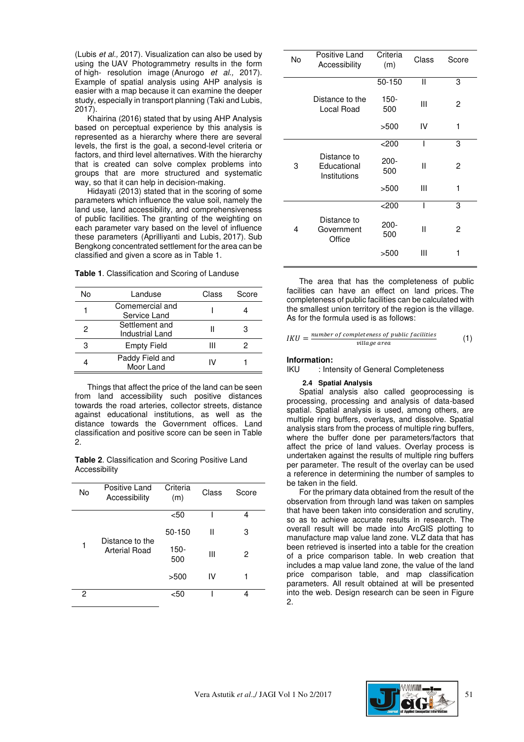(Lubis et al., 2017). Visualization can also be used by using the UAV Photogrammetry results in the form of high- resolution image (Anurogo et al., 2017). Example of spatial analysis using AHP analysis is easier with a map because it can examine the deeper study, especially in transport planning (Taki and Lubis,  $2017$ ).

Khairina (2016) stated that by using AHP Analysis based on perceptual experience by this analysis is represented as a hierarchy where there are several levels, the first is the goal, a second-level criteria or factors, and third level alternatives. With the hierarchy that is created can solve complex problems into groups that are more structured and systematic way, so that it can help in decision-making.

Hidayati (2013) stated that in the scoring of some parameters which influence the value soil, namely the land use, land accessibility, and comprehensiveness of public facilities. The granting of the weighting on each parameter vary based on the level of influence these parameters (Aprilliyanti and Lubis, 2017). Sub Bengkong concentrated settlement for the area can be classified and given a score as in Table 1.

| Table 1. Classification and Scoring of Landuse |  |
|------------------------------------------------|--|
|------------------------------------------------|--|

| N٥ | Landuse                           | Class | Score |
|----|-----------------------------------|-------|-------|
|    | Comemercial and<br>Service Land   |       |       |
| 2  | Settlement and<br>Industrial Land |       |       |
| З  | <b>Empty Field</b>                | Ш     |       |
|    | Paddy Field and<br>Moor Land      | I٧    |       |

Things that affect the price of the land can be seen from land accessibility such positive distances towards the road arteries, collector streets, distance against educational institutions, as well as the distance towards the Government offices. Land classification and positive score can be seen in Table 2.

**Table 2**. Classification and Scoring Positive Land **Accessibility** 

| No | Positive Land<br>Accessibility | Criteria<br>(m) | Class | Score |
|----|--------------------------------|-----------------|-------|-------|
|    |                                | $50$            |       | 4     |
|    | Distance to the                | 50-150          | Ш     | З     |
| 1  | Arterial Road                  | 150-<br>500     | Ш     | 2     |
|    |                                | >500            | IV    |       |
| 2  |                                | <50             |       |       |

|    | Positive Land                              | Criteria       |       |       |
|----|--------------------------------------------|----------------|-------|-------|
| No | Accessibility                              | (m)            | Class | Score |
|    |                                            | 50-150         | Ш     | 3     |
|    | Distance to the<br>Local Road              | 150-<br>500    | Ш     | 2     |
|    |                                            | >500           | IV    | 1     |
|    |                                            | $<$ 200        | I     | 3     |
| 3  | Distance to<br>Educational<br>Institutions | $200 -$<br>500 | Ш     | 2     |
|    |                                            | >500           | Ш     | 1     |
|    |                                            | $<$ 200        | ı     | 3     |
| 4  | Distance to<br>Government<br>Office        | 200-<br>500    | Ш     | 2     |
|    |                                            | >500           | Ш     | 1     |
|    |                                            |                |       |       |

The area that has the completeness of public facilities can have an effect on land prices. The completeness of public facilities can be calculated with the smallest union territory of the region is the village. As for the formula used is as follows:

$$
IKU = \frac{number\ of\ completeness\ of\ public\ facilities}{village\ area} \tag{1}
$$

#### **Information:**

IKU : Intensity of General Completeness

#### **2.4 Spatial Analysis**

Spatial analysis also called geoprocessing is processing, processing and analysis of data-based spatial. Spatial analysis is used, among others, are multiple ring buffers, overlays, and dissolve. Spatial analysis stars from the process of multiple ring buffers, where the buffer done per parameters/factors that affect the price of land values. Overlay process is undertaken against the results of multiple ring buffers per parameter. The result of the overlay can be used a reference in determining the number of samples to be taken in the field.

For the primary data obtained from the result of the observation from through land was taken on samples that have been taken into consideration and scrutiny, so as to achieve accurate results in research. The overall result will be made into ArcGIS plotting to manufacture map value land zone. VLZ data that has been retrieved is inserted into a table for the creation of a price comparison table. In web creation that includes a map value land zone, the value of the land price comparison table, and map classification parameters. All result obtained at will be presented into the web. Design research can be seen in Figure 2.

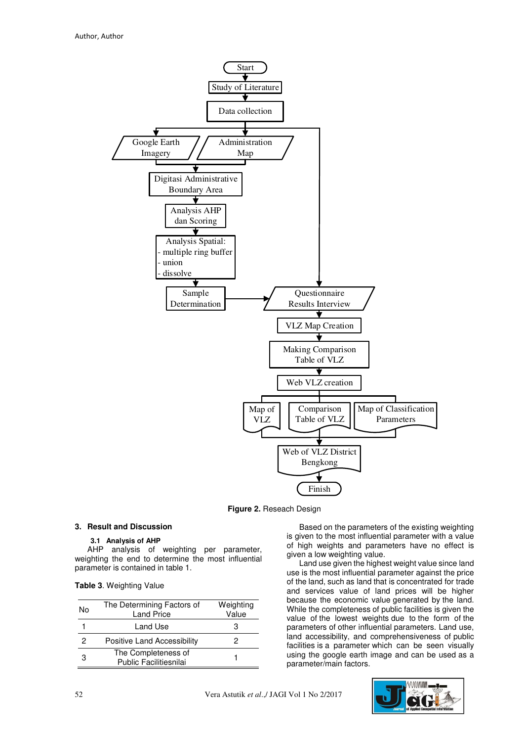

**Figure 2.** Reseach Design

#### **3. Result and Discussion**

#### **3.1 Analysis of AHP**

AHP analysis of weighting per parameter, weighting the end to determine the most influential parameter is contained in table 1.

|  |  | Table 3. Weighting Value |  |
|--|--|--------------------------|--|
|--|--|--------------------------|--|

| No | The Determining Factors of<br><b>Land Price</b> | Weighting<br>Value |
|----|-------------------------------------------------|--------------------|
|    | Land Use                                        | З                  |
| 2  | <b>Positive Land Accessibility</b>              |                    |
| 3  | The Completeness of<br>Public Facilitiesnilai   |                    |

Based on the parameters of the existing weighting is given to the most influential parameter with a value of high weights and parameters have no effect is given a low weighting value.

Land use given the highest weight value since land use is the most influential parameter against the price of the land, such as land that is concentrated for trade and services value of land prices will be higher because the economic value generated by the land. While the completeness of public facilities is given the value of the lowest weights due to the form of the parameters of other influential parameters. Land use, land accessibility, and comprehensiveness of public facilities is a parameter which can be seen visually using the google earth image and can be used as a parameter/main factors.

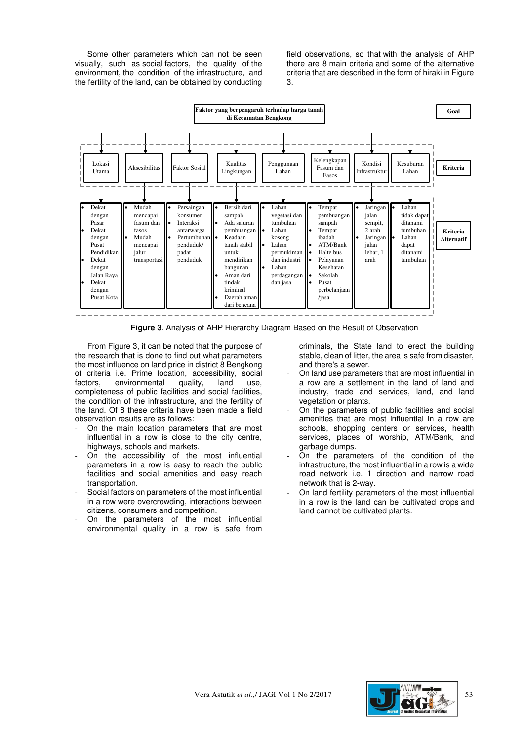Some other parameters which can not be seen visually, such as social factors, the quality of the environment, the condition of the infrastructure, and the fertility of the land, can be obtained by conducting

field observations, so that with the analysis of AHP there are 8 main criteria and some of the alternative criteria that are described in the form of hiraki in Figure 3.



**Figure 3**. Analysis of AHP Hierarchy Diagram Based on the Result of Observation

From Figure 3, it can be noted that the purpose of the research that is done to find out what parameters the most influence on land price in district 8 Bengkong of criteria i.e. Prime location, accessibility, social factors, environmental quality, land use, completeness of public facilities and social facilities, the condition of the infrastructure, and the fertility of the land. Of 8 these criteria have been made a field observation results are as follows:

- On the main location parameters that are most influential in a row is close to the city centre, highways, schools and markets.
- On the accessibility of the most influential parameters in a row is easy to reach the public facilities and social amenities and easy reach transportation.
- Social factors on parameters of the most influential in a row were overcrowding, interactions between citizens, consumers and competition.
- On the parameters of the most influential environmental quality in a row is safe from

criminals, the State land to erect the building stable, clean of litter, the area is safe from disaster, and there's a sewer.

- On land use parameters that are most influential in a row are a settlement in the land of land and industry, trade and services, land, and land vegetation or plants.
- On the parameters of public facilities and social amenities that are most influential in a row are schools, shopping centers or services, health services, places of worship, ATM/Bank, and garbage dumps.
- On the parameters of the condition of the infrastructure, the most influential in a row is a wide road network i.e. 1 direction and narrow road network that is 2-way.
- On land fertility parameters of the most influential in a row is the land can be cultivated crops and land cannot be cultivated plants.

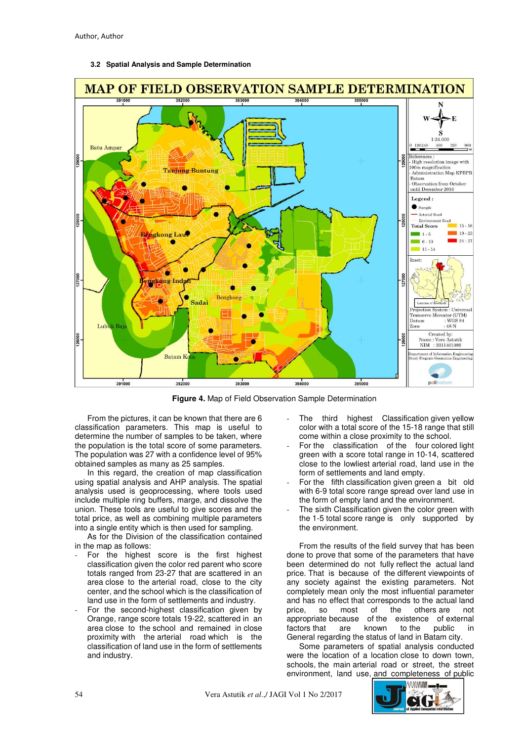

## **3.2 Spatial Analysis and Sample Determination**

**Figure 4.** Map of Field Observation Sample Determination

From the pictures, it can be known that there are 6 classification parameters. This map is useful to determine the number of samples to be taken, where the population is the total score of some parameters. The population was 27 with a confidence level of 95% obtained samples as many as 25 samples.

In this regard, the creation of map classification using spatial analysis and AHP analysis. The spatial analysis used is geoprocessing, where tools used include multiple ring buffers, marge, and dissolve the union. These tools are useful to give scores and the total price, as well as combining multiple parameters into a single entity which is then used for sampling.

As for the Division of the classification contained in the map as follows:

- For the highest score is the first highest classification given the color red parent who score totals ranged from 23-27 that are scattered in an area close to the arterial road, close to the city center, and the school which is the classification of land use in the form of settlements and industry.
- For the second-highest classification given by Orange, range score totals 19-22, scattered in an area close to the school and remained in close proximity with the arterial road which is the classification of land use in the form of settlements and industry.
- The third highest Classification given yellow color with a total score of the 15-18 range that still come within a close proximity to the school.
- For the classification of the four colored light green with a score total range in 10-14, scattered close to the lowliest arterial road, land use in the form of settlements and land empty.
- For the fifth classification given green a bit old with 6-9 total score range spread over land use in the form of empty land and the environment.
- The sixth Classification given the color green with the 1-5 total score range is only supported by the environment.

From the results of the field survey that has been done to prove that some of the parameters that have been determined do not fully reflect the actual land price. That is because of the different viewpoints of any society against the existing parameters. Not completely mean only the most influential parameter and has no effect that corresponds to the actual land<br>price, so most of the others are not price, so most of the others are not appropriate because of the existence of external factors that are known to the public in factors that are known to the public General regarding the status of land in Batam city.

Some parameters of spatial analysis conducted were the location of a location close to down town, schools, the main arterial road or street, the street environment, land use, and completeness of public

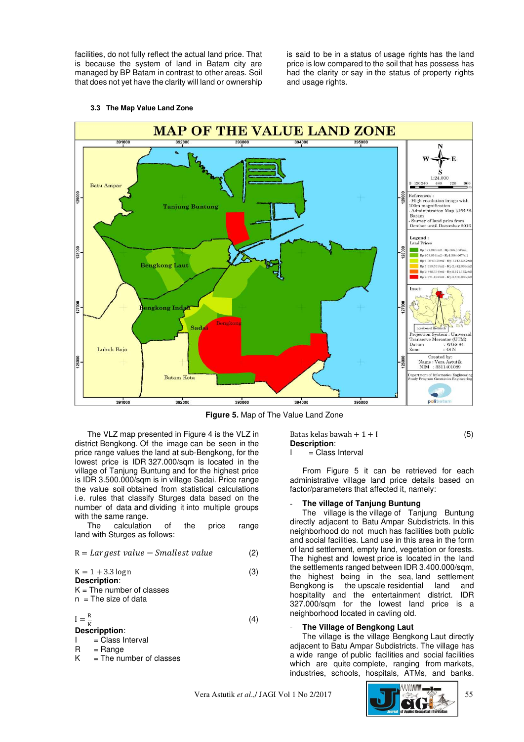facilities, do not fully reflect the actual land price. That is because the system of land in Batam city are managed by BP Batam in contrast to other areas. Soil that does not yet have the clarity will land or ownership

is said to be in a status of usage rights has the land price is low compared to the soil that has possess has had the clarity or say in the status of property rights and usage rights.



#### **3.3 The Map Value Land Zone**

**Figure 5.** Map of The Value Land Zone

The VLZ map presented in Figure 4 is the VLZ in district Bengkong. Of the image can be seen in the price range values the land at sub-Bengkong, for the lowest price is IDR 327.000/sqm is located in the village of Tanjung Buntung and for the highest price is IDR 3.500.000/sqm is in village Sadai. Price range the value soil obtained from statistical calculations i.e. rules that classify Sturges data based on the number of data and dividing it into multiple groups with the same range.

The calculation of the price range land with Sturges as follows:

$$
R = \text{Largest value} - \text{Smallest value} \tag{2}
$$

 $K = 1 + 3.3 \log n$  (3) **Description**:

 $K =$ The number of classes  $n =$ The size of data

 $I = \frac{R}{K}$  $(4)$ **Descripption**:

- I = Class Interval
- $R = Range$
- $K =$ The number of classes

Batas kelas bawah +  $1 + I$  (5) **Description**:  $I = C$ lass Interval

From Figure 5 it can be retrieved for each administrative village land price details based on factor/parameters that affected it, namely:

#### - **The village of Tanjung Buntung**

The village is the village of Tanjung Buntung directly adjacent to Batu Ampar Subdistricts. In this neighborhood do not much has facilities both public and social facilities. Land use in this area in the form of land settlement, empty land, vegetation or forests. The highest and lowest price is located in the land the settlements ranged between IDR 3.400.000/sqm, the highest being in the sea, land settlement Bengkong is the upscale residential land and hospitality and the entertainment district. IDR 327.000/sqm for the lowest land price is a neighborhood located in cavling old.

#### - **The Village of Bengkong Laut**

The village is the village Bengkong Laut directly adjacent to Batu Ampar Subdistricts. The village has a wide range of public facilities and social facilities which are quite complete, ranging from markets, industries, schools, hospitals, ATMs, and banks.

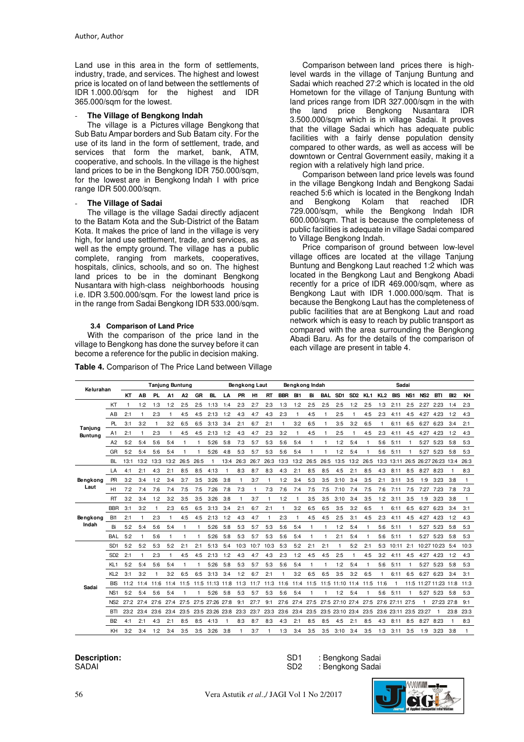Land use in this area in the form of settlements, industry, trade, and services. The highest and lowest price is located on of land between the settlements of IDR 1.000.00/sqm for the highest and IDR 365.000/sqm for the lowest.

## - **The Village of Bengkong Indah**

The village is a Pictures village Bengkong that Sub Batu Ampar borders and Sub Batam city. For the use of its land in the form of settlement, trade, and services that form the market, bank, ATM, cooperative, and schools. In the village is the highest land prices to be in the Bengkong IDR 750.000/sqm, for the lowest are in Bengkong Indah I with price range IDR 500.000/sqm.

## **The Village of Sadai**

The village is the village Sadai directly adjacent to the Batam Kota and the Sub-District of the Batam Kota. It makes the price of land in the village is very high, for land use settlement, trade, and services, as well as the empty ground. The village has a public complete, ranging from markets, cooperatives, hospitals, clinics, schools, and so on. The highest land prices to be in the dominant Bengkong Nusantara with high-class neighborhoods housing i.e. IDR 3.500.000/sqm. For the lowest land price is in the range from Sadai Bengkong IDR 533.000/sqm.

# **3.4 Comparison of Land Price**

With the comparison of the price land in the village to Bengkong has done the survey before it can become a reference for the public in decision making.

**Table 4.** Comparison of The Price Land between Village

Comparison between land prices there is highlevel wards in the village of Tanjung Buntung and Sadai which reached 27:2 which is located in the old Hometown for the village of Tanjung Buntung with land prices range from IDR 327.000/sqm in the with the land price Bengkong Nusantara IDR 3.500.000/sqm which is in village Sadai. It proves that the village Sadai which has adequate public facilities with a fairly dense population density compared to other wards, as well as access will be downtown or Central Government easily, making it a region with a relatively high land price.

Comparison between land price levels was found in the village Bengkong Indah and Bengkong Sadai reached 5:6 which is located in the Bengkong Indah and Bengkong Kolam that reached IDR 729.000/sqm, while the Bengkong Indah IDR 600.000/sqm. That is because the completeness of public facilities is adequate in village Sadai compared to Village Bengkong Indah.

Price comparison of ground between low-level village offices are located at the village Tanjung Buntung and Bengkong Laut reached 1:2 which was located in the Bengkong Laut and Bengkong Abadi recently for a price of IDR 469.000/sqm, where as Bengkong Laut with IDR 1.000.000/sqm. That is because the Bengkong Laut has the completeness of public facilities that are at Bengkong Laut and road network which is easy to reach by public transport as compared with the area surrounding the Bengkong Abadi Baru. As for the details of the comparison of each village are present in table 4.

| Kelurahan      |                 |      |           | <b>Tanjung Buntung</b> |      |              |           |                                | Bengkong Laut<br>Bengkong Indah |              |                |              |            |                 |           | Sadai        |                                                    |                 |      |              |                            |                 |              |                                  |                 |           |
|----------------|-----------------|------|-----------|------------------------|------|--------------|-----------|--------------------------------|---------------------------------|--------------|----------------|--------------|------------|-----------------|-----------|--------------|----------------------------------------------------|-----------------|------|--------------|----------------------------|-----------------|--------------|----------------------------------|-----------------|-----------|
|                |                 | КT   | AB        | PL.                    | A1   | A2           | <b>GR</b> | <b>BL</b>                      | LA                              | <b>PR</b>    | H <sub>1</sub> | <b>RT</b>    | <b>BBR</b> | BI <sub>1</sub> | Bi        | <b>BAL</b>   | SD1                                                | SD <sub>2</sub> |      |              | KL1 KL2 BIS                | NS <sub>1</sub> | NS2 BTI      |                                  | B <sub>12</sub> | KH        |
|                | KT              |      | 1:2       | 1:3                    | 1:2  | 2:5          | 2:5       | 1:13                           | 1:4                             | 2:3          | 2:7            | 2:3          | 1:3        | 1:2             | 2:5       | 2:5          | 2:5                                                | 1:2             | 2:5  | 1:3          | 2:11                       | 2:5             | 2:27         | 2:23                             | 1:4             | 2:3       |
|                | AВ              | 2:1  |           | 2:3                    |      | 4:5          | 4:5       | 2:13                           | 1:2                             | 4:3          | 4:7            | 4:3          | 2:3        | 1               | 4:5       |              | 2:5                                                | 1               | 4:5  | 2:3          | 4:11                       | 4:5             | 4:27         | 4:23                             | 1:2             | 4:3       |
| Tanjung        | PL.             | 3:1  | 3:2       | $\mathbf{1}$           | 3:2  | 6:5          | 6:5       | 3:13                           | 3:4                             | 2:1          | 6:7            | 2:1          | 1          | 3:2             | 6:5       | $\mathbf{1}$ | 3:5                                                | 3:2             | 6:5  | $\mathbf{1}$ | 6:11                       | 6:5             | 6:27         | 6:23                             | 3:4             | 2:1       |
| <b>Buntung</b> | A1              | 2:1  |           | 2:3                    |      | 4:5          | 4:5       | 2:13                           | 1:2                             | 4:3          | 4:7            | 2:3          | 3:2        | $\mathbf{1}$    | 4:5       |              | 2:5                                                | 1               | 4:5  | 2:3          | 4:11                       | 4:5             | 4:27 4:23    |                                  | 1:2             | 4:3       |
|                | A2              | 5:2  | 5:4       | 5:6                    | 5:4  | $\mathbf{1}$ | 1         | 5:26                           | 5:8                             | 7:3          | 5:7            | 5:3          | 5:6        | 5:4             | 1         | 1            | 1:2                                                | 5:4             | 1    | 5:6          | 5:11                       | 1               | 5:27         | 5:23                             | 5:8             | 5:3       |
|                | GR              | 5:2  | 5:4       | 5:6                    | 5:4  |              | 1         | 5:26                           | 4:8                             | 5:3          | 5:7            | 5:3          | 5:6        | 5:4             | 1         |              | 1:2                                                | 5:4             |      | 5:6          | 5:11                       |                 | 5:27         | 5:23                             | 5:8             | 5:3       |
|                | <b>BL</b>       | 13:1 | 13:2      | 13:3                   | 13:2 | 26:5         | 26:5      | $\mathbf{1}$                   | 13:4                            | 26:3         | 26:7           | 26:3         | 13:3       |                 | 13:2 26:5 | 26:5         | 13:5 13:2                                          |                 | 26:5 |              |                            |                 |              | 13:3 13:11 26:5 26:27 26:23 13:4 |                 | 26:3      |
|                | LA              | 4:1  | 2:1       | 4:3                    | 2:1  | 8:5          | 8:5       | 4:13                           | $\mathbf{1}$                    | 8:3          | 8:7            | 8:3          | 4:3        | 2:1             | 8:5       | 8:5          | 4:5                                                | 2:1             | 8:5  | 4:3          | 8:11                       | 8:5             | 8:27 8:23    |                                  | $\mathbf{1}$    | 8:3       |
| Bengkong       | PR              | 3:2  | 3:4       | 1:2                    | 3:4  | 3:7          | 3:5       | 3:26                           | 3:8                             |              | 3:7            | $\mathbf{1}$ | 1:2        | 3:4             | 5:3       | 3:5          | 3:10                                               | 3:4             | 3:5  | 2:1          | 3:11                       | 3:5             | 1:9          | 3:23                             | 3:8             | 1         |
| Laut           | H1              | 7:2  | 7:4       | 7:6                    | 7:4  | 7:5          | 7:5       | 7:26                           | 7:8                             | 7:3          | $\mathbf{1}$   | 7:3          | 7:6        | 7:4             | 7:5       | 7:5          | 7:10                                               | 7:4             | 7:5  | 7:6          | 7:11                       | 7:5             | 7:27         | 7:23                             | 7:8             | 7:3       |
|                | <b>RT</b>       | 3:2  | 3:4       | 1:2                    | 3:2  | 3:5          | 3:5       | 3:26                           | 3:8                             | $\mathbf{1}$ | 3:7            | $\mathbf{1}$ | 1:2        | $\mathbf{1}$    | 3:5       | 3:5          | 3:10                                               | 3:4             | 3:5  | 1:2          | 3:11                       | 3:5             | 1:9          | 3:23                             | 3:8             | 1         |
|                | <b>BBR</b>      | 3:1  | 3:2       | 1                      | 2:3  | 6:5          | 6:5       | 3:13                           | 3:4                             | 2:1          | 6:7            | 2:1          | 1          | 3:2             | 6:5       | 6:5          | 3:5                                                | 3:2             | 6:5  | $\mathbf{1}$ | 6:11                       | 6:5             | 6:27         | 6:23                             | 3:4             | 3:1       |
| Bengkong       | B <sub>I1</sub> | 2:1  |           | 2:3                    |      | 4:5          | 4:5       | 2:13                           | 1:2                             | 4:3          | 4:7            | 1            | 2:3        | 1               | 4:5       | 4:5          | 2:5                                                | 3:1             | 4:5  | 2:3          | 4:11                       | 4:5             | 4:27         | 4:23                             | 1:2             | 4:3       |
| Indah          | Bi              | 5:2  | 5:4       | 5:6                    | 5:4  | $\mathbf{1}$ | 1         | 5:26                           | 5:8                             | 5:3          | 5:7            | 5:3          | 5:6        | 5:4             | 1         | 1            | 1:2                                                | 5:4             | 1    | 5:6          | 5:11                       |                 | 5:27         | 5:23                             | 5:8             | 5:3       |
|                | <b>BAL</b>      | 5:2  |           | 5:6                    |      | 1            | 1         | 5:26                           | 5:8                             | 5:3          | 5:7            | 5:3          | 5:6        | 5:4             | 1         | 1            | 2:1                                                | 5:4             |      | 5:6          | 5:11                       |                 |              | 5:27 5:23                        | 5:8             | 5:3       |
|                | SD <sub>1</sub> | 5:2  | 5:2       | 5:3                    | 5:2  | 2:1          | 2:1       | 5:13                           | 5:4                             | 10:3         | 10:7           | 10:3         | 5:3        | 5:2             | 2:1       | 2:1          | $\mathbf{1}$                                       | 5:2             | 2:1  | 5:3          | 10:11                      |                 |              | 2:1 10:27 10:23 5:4              |                 | 10:3      |
|                | SD <sub>2</sub> | 2:1  |           | 2:3                    |      | 4:5          | 4:5       | 2:13                           | 1:2                             | 4:3          | 4:7            | 4:3          | 2:3        | 1:2             | 4:5       | 4:5          | 2:5                                                |                 | 4:5  | 3:2          | 4:11                       | 4:5             | 4:27         | 4:23                             | 1:2             | 4:3       |
|                | KL <sub>1</sub> | 5:2  | 5:4       | 5:6                    | 5:4  |              | 1         | 5:26                           | 5:8                             | 5:3          | 5:7            | 5:3          | 5:6        | 5:4             | 1         | 1            | 1:2                                                | 5:4             |      | 5:6          | 5:11                       |                 | 5:27         | 5:23                             | 5:8             | 5:3       |
|                | KL <sub>2</sub> | 3:1  | 3:2       | 1                      | 3:2  | 6:5          | 6:5       | 3:13                           | 3:4                             | 1:2          | 6:7            | 2:1          | 1          | 3:2             | 6:5       | 6:5          | 3:5                                                | 3:2             | 6:5  | $\mathbf{1}$ | 6:11                       | 6:5             | 6:27 6:23    |                                  | 3:4             | 3:1       |
| Sadai          | <b>BIS</b>      | 11:2 | 11:4      | 11:6                   |      |              |           | 11:4 11:5 11:5 11:13 11:8 11:3 |                                 |              |                |              |            |                 |           |              | 11:7 11:3 11:6 11:4 11:5 11:5 11:10 11:4 11:5 11:6 |                 |      |              |                            |                 |              | 11:5 11:27 11:23 11:8 11:3       |                 |           |
|                | NS1             | 5:2  | 5:4       | 5:6                    | 5:4  | $\mathbf{1}$ | 1         | 5:26                           | 5:8                             | 5:3          | 5:7            | 5:3          | 5:6        | 5:4             | 1         | 1            | 1:2                                                | 5:4             | -1   | 5:6          | 5:11                       | 1               | 5:27 5:23    |                                  | 5:8             | 5:3       |
|                | NS2             | 27:2 | 27:4      | 27:6                   | 27:4 | 27:5         |           | 27:5 27:26 27:8                |                                 | 9:1          | 27:7           | 9:1          |            | 27:6 27:4 27:5  |           |              | 27:5 27:10 27:4                                    |                 | 27:5 |              | 27:6 27:11 27:5            |                 | $\mathbf{1}$ | 27:23 27:8                       |                 | 9:1       |
|                | BTI             |      | 23:2 23:4 | 23:6                   |      |              |           | 23:4 23:5 23:5 23:26 23:8 23:3 |                                 |              | 23:7           |              |            |                 |           |              | 23:3 23:6 23:4 23:5 23:5 23:10 23:4                |                 |      |              | 23:5 23:6 23:11 23:5 23:27 |                 |              | $\mathbf{1}$                     |                 | 23:8 23:3 |
|                | B <sub>I2</sub> | 4:1  | 2:1       | 4:3                    | 2:1  | 8:5          | 8:5       | 4:13                           | $\mathbf{1}$                    | 8:3          | 8:7            | 8:3          | 4:3        | 2:1             | 8:5       | 8:5          | 4:5                                                | 2:1             | 8:5  | 4:3          | 8:11                       | 8:5             | 8:27         | 8:23                             | $\mathbf{1}$    | 8:3       |
|                | KН              | 3:2  | 3:4       | 1:2                    | 3:4  | 3:5          | 3:5       | 3:26                           | 3:8                             |              | 3:7            | 1            | 1:3        | 3:4             | 3:5       | 3:5          | 3:10                                               | 3:4             | 3:5  | 1:3          | 3:11                       | 3:5             | 1:9          | 3:23                             | 3:8             | 1         |

**Description:**  SADAI

SD1 : Bengkong Sadai SD2 : Bengkong Sadai